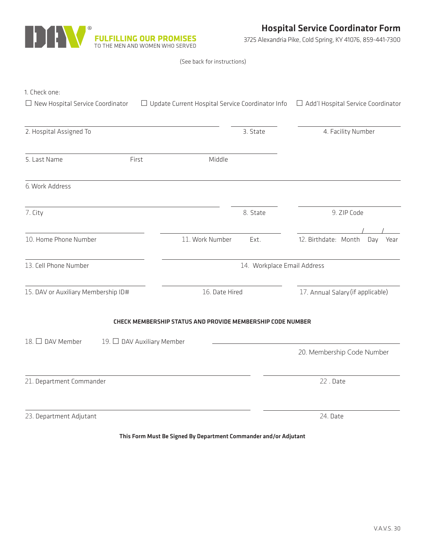

3725 Alexandria Pike, Cold Spring, KY 41076, 859-441-7300

|  |  |  | (See back for instructions) |  |
|--|--|--|-----------------------------|--|
|--|--|--|-----------------------------|--|

| 1. Check one:<br>$\Box$ New Hospital Service Coordinator |                            | $\Box$ Update Current Hospital Service Coordinator Info    | $\Box$ Add'l Hospital Service Coordinator |                    |  |
|----------------------------------------------------------|----------------------------|------------------------------------------------------------|-------------------------------------------|--------------------|--|
|                                                          |                            |                                                            |                                           |                    |  |
| 2. Hospital Assigned To                                  |                            | 3. State                                                   |                                           | 4. Facility Number |  |
| 5. Last Name                                             | First                      | Middle                                                     |                                           |                    |  |
| 6. Work Address                                          |                            |                                                            |                                           |                    |  |
| 7. City                                                  |                            | 8. State                                                   | 9. ZIP Code                               |                    |  |
| 10. Home Phone Number                                    |                            | 11. Work Number<br>Ext.                                    | 12. Birthdate: Month<br>Day               | Year               |  |
| 13. Cell Phone Number                                    |                            | 14. Workplace Email Address                                |                                           |                    |  |
| 15. DAV or Auxiliary Membership ID#                      |                            | 16. Date Hired                                             | 17. Annual Salary (if applicable)         |                    |  |
|                                                          |                            | CHECK MEMBERSHIP STATUS AND PROVIDE MEMBERSHIP CODE NUMBER |                                           |                    |  |
| 18. □ DAV Member                                         | 19. □ DAV Auxiliary Member |                                                            |                                           |                    |  |
|                                                          |                            |                                                            | 20. Membership Code Number                |                    |  |
| 21. Department Commander                                 |                            |                                                            | 22. Date                                  |                    |  |
| 23. Department Adjutant                                  |                            |                                                            | 24. Date                                  |                    |  |

This Form Must Be Signed By Department Commander and/or Adjutant